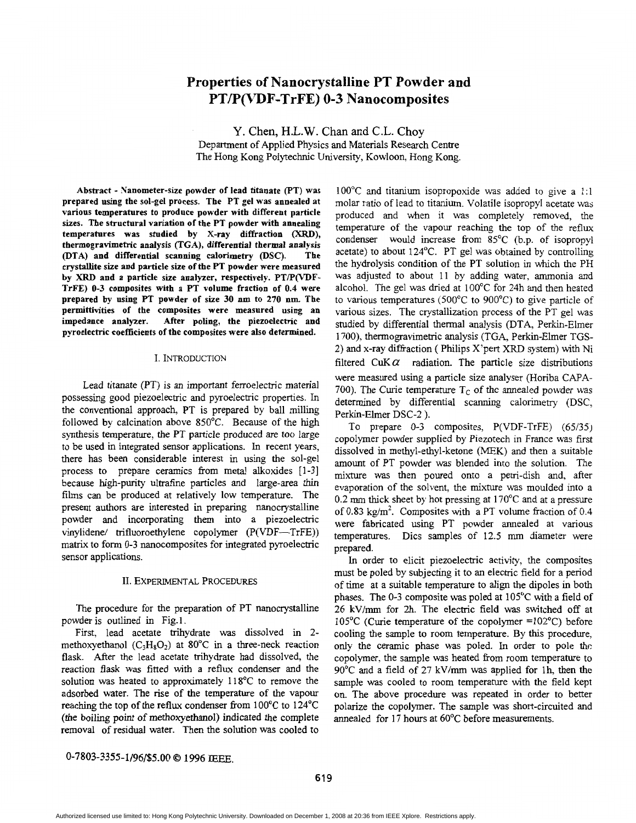# **Properties of Nanocrystalline PT Powder and PT/P(VDF-TrFE) 0-3 Nanocomposites**

Y. Chen, H.L.W. Chan and C.L. Choy Department of Applied Physics and Materials Research Centre The Hong Kong Polytechnic University, Kowloon, Hong Kong.

**Abstract** - **Nanometer-size powder of lead titanate (F'T) was prepared using the sol-gel process. The PT gel was annealed at various temperatures to produce powder with different particle sizes. The structural variation of the PT powder with annealing temperatures was studied by X-ray diffraction** (XRD), **thermogravimetric analysis (TGA), differential thermal analysis @TA) and differential scanning calorimetry** *(DSC).* **The crystallite size and particle size of the PT powder were measured**  by XRD and a particle size analyzer, respectively. PT/P(VDF-**TrFE) 0-3 composites with a PT volume fraction of 0.4 were prepared by using PT powder of size 30 nm to 270 nm. The permittivities of the composites were measured using an impedance analyzer. After poling, the piezoelectric and pyroelectric coefficients of the composites were also determined.** 

#### I. INTRODUCTION

Lead titanate (PT) is an important ferroelectric material possessing good piezoelectric and pyroelectric properties. In the conventional approach, PT is prepared by ball milling followed by calcination above 850°C. Because of the high synthesis temperature, the PT particle produced are too large to be used in integrated sensor applications. In recent years, there has been considerable interest in using the sol-gel process to prepare ceramics from metal alkoxides [l-31 because high-purity ultrafine particles and large-area *thin*  films can be produced at relatively low temperature. The present authors are interested in preparing nanocrystalline powder and incorporating them into a piezoelectric vinylidene/ trifluoroethylene copolymer (P(VDF-TrFE)) matrix to form 0-3 nanocomposites for integrated pyroelectric sensor applications.

## **11.** EXPERIMENTAL PROCEDURES

The procedure for the preparation of PT nanocrystalline powder is outlined in Fig. 1.

First, lead acetate trihydrate was dissolved in 2 methoxyethanol  $(C_3H_8O_2)$  at 80°C in a three-neck reaction flask. After the lead acetate trihydrate had dissolved, the reaction flask was fitted with a reflux condenser and the solution was heated to approximately 118°C to remove the adsorbed water. The rise **of** the temperature of the vapour reaching the top of the reflux condenser from 100°C to 124°C (the boiling point of methoxyethanol) indicated the complete removal of residual water. Then the solution was cooled to

100°C and titanium isopropoxide was added to give a 1:l molar ratio of lead to titanium. Volatile isopropyl acetate was produced and when it was completely removed, the temperature of the vapour reaching the top of the reflux condenser would increase from 85°C (b.p. of isopropyl acetate) to about 124°C. PT gel was obtained by controlling the hydrolysis condition of the PT solution in which the PH was adjusted to about 11 by adding water, ammonia and alcohol. The gel was dried at 100°C for 24h and then heated to various temperatures (500°C to 900°C) to give particle of various sizes. The crystallization process of the PT gel was studied by differential thermal analysis (DTA, Perkin-Elmer 1 700), thermogravimetric analysis (TGA, Perkin-Elmer TGS-2) and x-ray diffraction ( Philips X'pert XRD system) with Ni filtered CuK $\alpha$  radiation. The particle size distributions were measured using a particle size analyser (Horiba CAPA-700). The Curie temperature  $T_c$  of the annealed powder was determined by differential scanning calorimetry (DSC, Perkin-Elmer DSC-2).

To prepare **0-3** composites, P(VDF-TrFE) (65/35) copolymer powder supplied by Piezotech in France was fist dissolved in methyl-ethyl-ketone (MEK) and then a suitable amount of PT powder was blended into the solution. The mixture was then poured onto a petri-dish and, after evaporation of the solvent, the mixture was moulded into a 0.2 mm thick sheet by hot pressing at 170°C and at a pressure of 0.83 kg/m'. Composites with **a** PT volume fraction of 0.4 were fabricated using PT powder annealed at various temperatures. Dics samples of 12.5 mm diameter were prepared.

In order to elicit piezoelectric activity, the composites must be poled by subjecting it to an electric field for a period of time at a suitable temperature to align the dipoles in both phases. The 0-3 composite was poled at 105°C with a field **of**  26 **kV/mm** for 2h. The electric field was switched off at 105°C (Curie temperature of the copolymer =102"C) before cooling the sample to room temperature. By this procedure, only the ceramic phase was poled. In order to pole **thc**  copolymer, the sample was heated fiom room temperature to 90°C and a field of 27 kV/mm was applied for lh, then the sample was cooled to room temperature with the field kept on. The above procedure was repeated in order to better polarize the copolymer. The sample was short-circuited and annealed for 17 hours at 60°C before measurements.

0-7803-3355-1/96/\$5.00 *0* **1996** IEEE.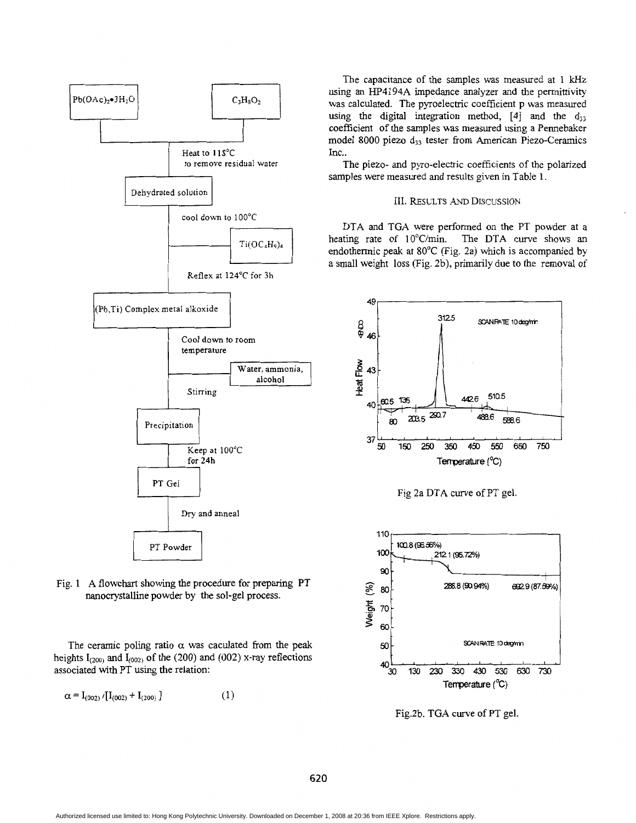



The ceramic poling ratio  $\alpha$  was caculated from the peak heights  $I_{(200)}$  and  $I_{(002)}$  of the (200) and (002) x-ray reflections associated with PT using the relation:

$$
\alpha = I_{(002)} / [I_{(002)} + I_{(200)} ] \tag{1}
$$

The capacitance of the samples was measured at 1 kHz using **an** HP4194A impedance analyzer and the permittivity was calculated. The pyroelectric coefficient p was measured using the digital integration method,  $[4]$  and the  $d_{33}$ coefficient of the samples was measured using a Pennebaker model 8000 piezo d<sub>33</sub> tester from American Piezo-Ceramics Inc..

The piezo- **and** pyro-electric coefficients of the polarized samples were measured and results given in Table 1.

## 111. RESULTS *AND* DISCUSSION

DTA and TGA were performed on the PT powder at a heating rate of 10°C/min. The DTA curve shows an endothermic peak at 80°C (Fig. 2a) which is accompanied by a small weight loss (Fig. 2b), primarily due to the removal of



Fig 2a DTA curve of PT gel.



Fig.2b. TGA curve of PT gel.

**620**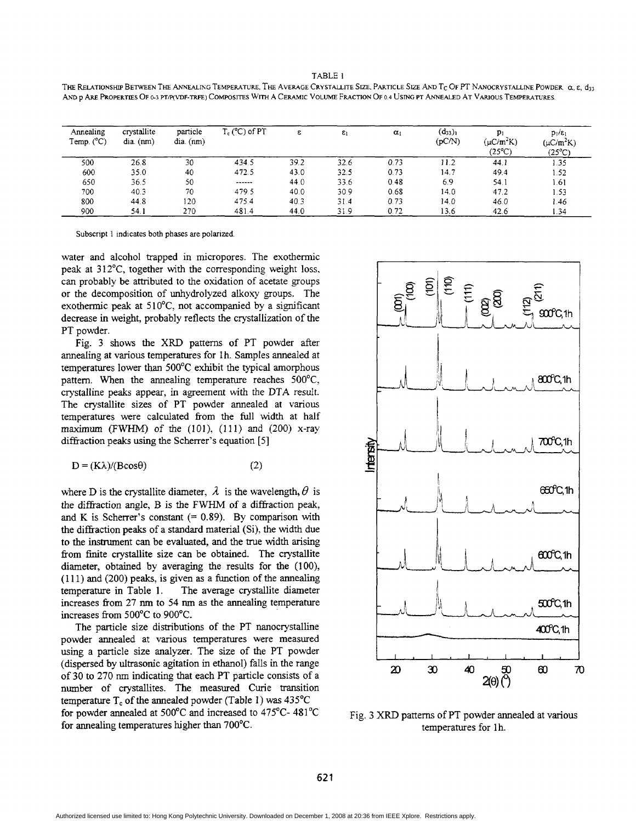TABLE **<sup>1</sup>**

THE RELATIONSHIP BETWEEN THE ANNEALING TEMPERATURE. THE AVERAGE CRYSTALLITE SIZE, PARTICLE SIZE AND T<sub>C</sub> OF PT NANOCRYSTALLINE POWDER  $\alpha, \epsilon, d_{33}$ **AND p** *ARE* **PROPERTIES OF 0-3** PTmVDF-TRFE) **COMPoSlTES** WITH **A CERAMIC** VOLUME FwcnoN **OF 0 4 USING** PT **ANNEALED AT VARIOUS TEMPERATURES** 

| Annealing<br>Temp. $(^{\circ}C)$ | crystallite<br>$dia.$ (nm) | particle<br>$dia.$ (nm) | $T_c$ ( $^{\circ}$ C) of PT | ε    | $\varepsilon_1$ | $\alpha_1$ | $(d_{33})_1$<br>(pCN) | $p_1$<br>$(\mu C/m^2 K)$<br>$(25^{\circ}C)$ | $p_1/\epsilon_1$<br>$(\mu C/m^2K)$<br>$(25^{\circ}C)$ |
|----------------------------------|----------------------------|-------------------------|-----------------------------|------|-----------------|------------|-----------------------|---------------------------------------------|-------------------------------------------------------|
| 500                              | 26.8                       | 30                      | 434.5                       | 39.2 | 32.6            | 0.73       | 11.2                  | 44.1                                        | 1.35                                                  |
| 600                              | 35.0                       | 40                      | 472.5                       | 43.0 | 32.5            | 0.73       | 14.7                  | 49.4                                        | 1.52                                                  |
| 650                              | 36.5                       | 50                      | ------                      | 44.0 | 33.6            | 0.48       | 6.9                   | 54.1                                        | 1.61                                                  |
| 700                              | 40.3                       | 70                      | 479.5                       | 40.0 | 30.9            | 0.68       | 14.0                  | 47.2                                        | 1.53                                                  |
| 800                              | 44.8                       | 120                     | 475.4                       | 40.3 | 31.4            | 0.73       | 14.0                  | 46.0                                        | 1.46                                                  |
| 900                              | 54.1                       | 270                     | 481.4                       | 44.0 | 31.9            | 0.72       | 13.6                  | 42.6                                        | 1.34                                                  |

**Subscript** 1 **indicates both phases are polarized** 

water and alcohol trapped in micropores. The exothermic peak at 312"C, together with the corresponding weight loss. can probably be attributed to the oxidation of acetate groups or the decomposition of unhydrolyzed alkoxy groups. The exothermic peak at  $510^{\circ}$ C, not accompanied by a significant decrease in weight, probably reflects the crystallization of the PT powder.

Fig. **3** shows the XRD patterns of PT powder after annealing at various temperatures for lh. Samples annealed at temperatures lower than 500°C exhibit the typical amorphous pattern. When the annealing temperature reaches  $500^{\circ}$ C, crystalline peaks appear, in agreement with the DTA result. The crystallite sizes of PT powder annealed at various temperatures were calculated from the full width at half  $maximum$  (FWHM) of the (101), (111) and (200) x-ray diffraction peaks using the Scherrer's equation [5]

$$
D = (K\lambda)/(B\cos\theta) \tag{2}
$$

where D is the crystallite diameter,  $\lambda$  is the wavelength,  $\theta$  is the diffraction angle,  $B$  is the FWHM of a diffraction peak, and K is Scherrer's constant  $(= 0.89)$ . By comparison with the diffiaction peaks of a standard material (Si), the width due to the instrument can be evaluated, **and** the **true** width arising from finite crystallite size can be obtained. The crystallite diameter, obtained by averaging the results for the (100), **(1 1** 1) and (200) peaks, is given as a function of the annealing temperature in Table **1.** The average crystallite diameter increases from 27 nm to 54 nm **as** the annealing temperature increases from  $500^{\circ}$ C to  $900^{\circ}$ C.

The particle size distributions of the PT nanocrystalline powder annealed at various temperatures were measured using a particle size analyzer. The size of the PT powder (dispersed by ultrasonic agitation in ethanol) falls in the range of **30** to 270 nm indicating that each PT particle consists of a number of crystallites. The measured Curie transition temperature  $T_c$  of the annealed powder (Table 1) was  $435^{\circ}$ C for powder annealed at  $500^{\circ}$ C and increased to  $475^{\circ}$ C-  $481^{\circ}$ C for annealing temperatures higher **than** 700°C.



Fig. **3** XRD patterns of PT powder annealed at various temperatures for 1h.

Authorized licensed use limited to: Hong Kong Polytechnic University. Downloaded on December 1, 2008 at 20:36 from IEEE Xplore. Restrictions apply.